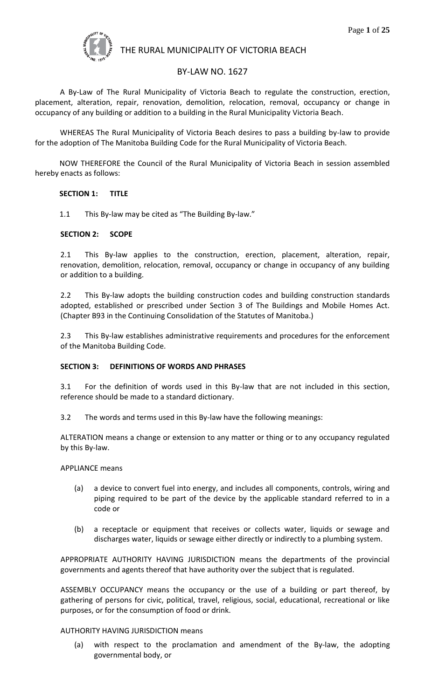

# BY-LAW NO. 1627

A By-Law of The Rural Municipality of Victoria Beach to regulate the construction, erection, placement, alteration, repair, renovation, demolition, relocation, removal, occupancy or change in occupancy of any building or addition to a building in the Rural Municipality Victoria Beach.

WHEREAS The Rural Municipality of Victoria Beach desires to pass a building by-law to provide for the adoption of The Manitoba Building Code for the Rural Municipality of Victoria Beach.

NOW THEREFORE the Council of the Rural Municipality of Victoria Beach in session assembled hereby enacts as follows:

### **SECTION 1: TITLE**

1.1 This By-law may be cited as "The Building By-law."

#### **SECTION 2: SCOPE**

2.1 This By-law applies to the construction, erection, placement, alteration, repair, renovation, demolition, relocation, removal, occupancy or change in occupancy of any building or addition to a building.

2.2 This By-law adopts the building construction codes and building construction standards adopted, established or prescribed under Section 3 of The Buildings and Mobile Homes Act. (Chapter B93 in the Continuing Consolidation of the Statutes of Manitoba.)

2.3 This By-law establishes administrative requirements and procedures for the enforcement of the Manitoba Building Code.

### **SECTION 3: DEFINITIONS OF WORDS AND PHRASES**

3.1 For the definition of words used in this By-law that are not included in this section, reference should be made to a standard dictionary.

3.2 The words and terms used in this By-law have the following meanings:

ALTERATION means a change or extension to any matter or thing or to any occupancy regulated by this By-law.

APPLIANCE means

- (a) a device to convert fuel into energy, and includes all components, controls, wiring and piping required to be part of the device by the applicable standard referred to in a code or
- (b) a receptacle or equipment that receives or collects water, liquids or sewage and discharges water, liquids or sewage either directly or indirectly to a plumbing system.

APPROPRIATE AUTHORITY HAVING JURISDICTION means the departments of the provincial governments and agents thereof that have authority over the subject that is regulated.

ASSEMBLY OCCUPANCY means the occupancy or the use of a building or part thereof, by gathering of persons for civic, political, travel, religious, social, educational, recreational or like purposes, or for the consumption of food or drink.

### AUTHORITY HAVING JURISDICTION means

(a) with respect to the proclamation and amendment of the By-law, the adopting governmental body, or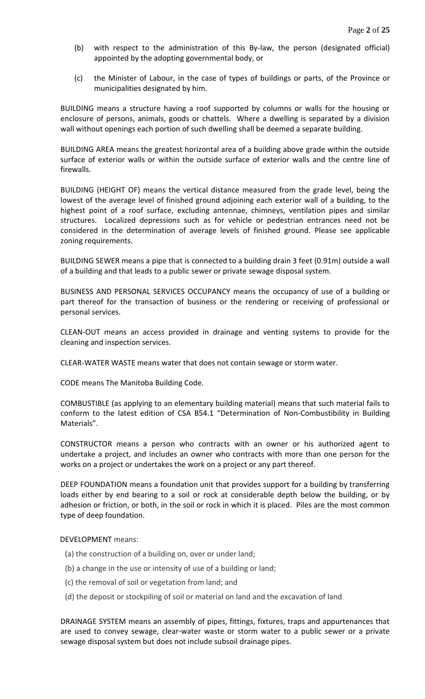- (b) with respect to the administration of this By-law, the person (designated official) appointed by the adopting governmental body, or
- (c) the Minister of Labour, in the case of types of buildings or parts, of the Province or municipalities designated by him.

BUILDING means a structure having a roof supported by columns or walls for the housing or enclosure of persons, animals, goods or chattels. Where a dwelling is separated by a division wall without openings each portion of such dwelling shall be deemed a separate building.

BUILDING AREA means the greatest horizontal area of a building above grade within the outside surface of exterior walls or within the outside surface of exterior walls and the centre line of firewalls.

BUILDING (HEIGHT OF) means the vertical distance measured from the grade level, being the lowest of the average level of finished ground adjoining each exterior wall of a building, to the highest point of a roof surface, excluding antennae, chimneys, ventilation pipes and similar structures. Localized depressions such as for vehicle or pedestrian entrances need not be considered in the determination of average levels of finished ground. Please see applicable zoning requirements.

BUILDING SEWER means a pipe that is connected to a building drain 3 feet (0.91m) outside a wall of a building and that leads to a public sewer or private sewage disposal system.

BUSINESS AND PERSONAL SERVICES OCCUPANCY means the occupancy of use of a building or part thereof for the transaction of business or the rendering or receiving of professional or personal services.

CLEAN-OUT means an access provided in drainage and venting systems to provide for the cleaning and inspection services.

CLEAR-WATER WASTE means water that does not contain sewage or storm water.

CODE means The Manitoba Building Code.

COMBUSTIBLE (as applying to an elementary building material) means that such material fails to conform to the latest edition of CSA B54.1 "Determination of Non-Combustibility in Building Materials".

CONSTRUCTOR means a person who contracts with an owner or his authorized agent to undertake a project, and includes an owner who contracts with more than one person for the works on a project or undertakes the work on a project or any part thereof.

DEEP FOUNDATION means a foundation unit that provides support for a building by transferring loads either by end bearing to a soil or rock at considerable depth below the building, or by adhesion or friction, or both, in the soil or rock in which it is placed. Piles are the most common type of deep foundation.

#### DEVELOPMENT means:

- (a) the construction of a building on, over or under land;
- (b) a change in the use or intensity of use of a building or land;
- (c) the removal of soil or vegetation from land; and
- (d) the deposit or stockpiling of soil or material on land and the excavation of land

DRAINAGE SYSTEM means an assembly of pipes, fittings, fixtures, traps and appurtenances that are used to convey sewage, clear-water waste or storm water to a public sewer or a private sewage disposal system but does not include subsoil drainage pipes.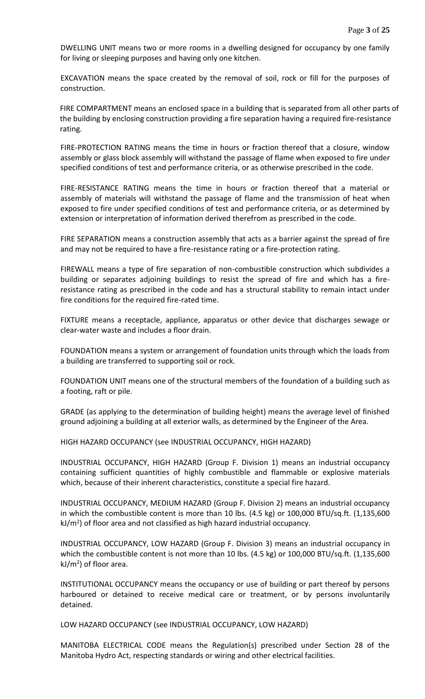DWELLING UNIT means two or more rooms in a dwelling designed for occupancy by one family for living or sleeping purposes and having only one kitchen.

EXCAVATION means the space created by the removal of soil, rock or fill for the purposes of construction.

FIRE COMPARTMENT means an enclosed space in a building that is separated from all other parts of the building by enclosing construction providing a fire separation having a required fire-resistance rating.

FIRE-PROTECTION RATING means the time in hours or fraction thereof that a closure, window assembly or glass block assembly will withstand the passage of flame when exposed to fire under specified conditions of test and performance criteria, or as otherwise prescribed in the code.

FIRE-RESISTANCE RATING means the time in hours or fraction thereof that a material or assembly of materials will withstand the passage of flame and the transmission of heat when exposed to fire under specified conditions of test and performance criteria, or as determined by extension or interpretation of information derived therefrom as prescribed in the code.

FIRE SEPARATION means a construction assembly that acts as a barrier against the spread of fire and may not be required to have a fire-resistance rating or a fire-protection rating.

FIREWALL means a type of fire separation of non-combustible construction which subdivides a building or separates adjoining buildings to resist the spread of fire and which has a fireresistance rating as prescribed in the code and has a structural stability to remain intact under fire conditions for the required fire-rated time.

FIXTURE means a receptacle, appliance, apparatus or other device that discharges sewage or clear-water waste and includes a floor drain.

FOUNDATION means a system or arrangement of foundation units through which the loads from a building are transferred to supporting soil or rock.

FOUNDATION UNIT means one of the structural members of the foundation of a building such as a footing, raft or pile.

GRADE (as applying to the determination of building height) means the average level of finished ground adjoining a building at all exterior walls, as determined by the Engineer of the Area.

HIGH HAZARD OCCUPANCY (see INDUSTRIAL OCCUPANCY, HIGH HAZARD)

INDUSTRIAL OCCUPANCY, HIGH HAZARD (Group F. Division 1) means an industrial occupancy containing sufficient quantities of highly combustible and flammable or explosive materials which, because of their inherent characteristics, constitute a special fire hazard.

INDUSTRIAL OCCUPANCY, MEDIUM HAZARD (Group F. Division 2) means an industrial occupancy in which the combustible content is more than 10 lbs. (4.5 kg) or 100,000 BTU/sq.ft. (1,135,600 kJ/m<sup>2</sup>) of floor area and not classified as high hazard industrial occupancy.

INDUSTRIAL OCCUPANCY, LOW HAZARD (Group F. Division 3) means an industrial occupancy in which the combustible content is not more than 10 lbs. (4.5 kg) or 100,000 BTU/sq.ft. (1,135,600 kJ/m<sup>2</sup>) of floor area.

INSTITUTIONAL OCCUPANCY means the occupancy or use of building or part thereof by persons harboured or detained to receive medical care or treatment, or by persons involuntarily detained.

LOW HAZARD OCCUPANCY (see INDUSTRIAL OCCUPANCY, LOW HAZARD)

MANITOBA ELECTRICAL CODE means the Regulation(s) prescribed under Section 28 of the Manitoba Hydro Act, respecting standards or wiring and other electrical facilities.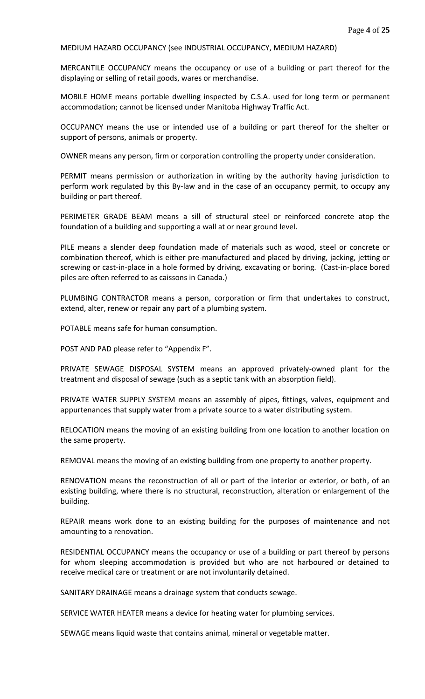#### MEDIUM HAZARD OCCUPANCY (see INDUSTRIAL OCCUPANCY, MEDIUM HAZARD)

MERCANTILE OCCUPANCY means the occupancy or use of a building or part thereof for the displaying or selling of retail goods, wares or merchandise.

MOBILE HOME means portable dwelling inspected by C.S.A. used for long term or permanent accommodation; cannot be licensed under Manitoba Highway Traffic Act.

OCCUPANCY means the use or intended use of a building or part thereof for the shelter or support of persons, animals or property.

OWNER means any person, firm or corporation controlling the property under consideration.

PERMIT means permission or authorization in writing by the authority having jurisdiction to perform work regulated by this By-law and in the case of an occupancy permit, to occupy any building or part thereof.

PERIMETER GRADE BEAM means a sill of structural steel or reinforced concrete atop the foundation of a building and supporting a wall at or near ground level.

PILE means a slender deep foundation made of materials such as wood, steel or concrete or combination thereof, which is either pre-manufactured and placed by driving, jacking, jetting or screwing or cast-in-place in a hole formed by driving, excavating or boring. (Cast-in-place bored piles are often referred to as caissons in Canada.)

PLUMBING CONTRACTOR means a person, corporation or firm that undertakes to construct, extend, alter, renew or repair any part of a plumbing system.

POTABLE means safe for human consumption.

POST AND PAD please refer to "Appendix F".

PRIVATE SEWAGE DISPOSAL SYSTEM means an approved privately-owned plant for the treatment and disposal of sewage (such as a septic tank with an absorption field).

PRIVATE WATER SUPPLY SYSTEM means an assembly of pipes, fittings, valves, equipment and appurtenances that supply water from a private source to a water distributing system.

RELOCATION means the moving of an existing building from one location to another location on the same property.

REMOVAL means the moving of an existing building from one property to another property.

RENOVATION means the reconstruction of all or part of the interior or exterior, or both, of an existing building, where there is no structural, reconstruction, alteration or enlargement of the building.

REPAIR means work done to an existing building for the purposes of maintenance and not amounting to a renovation.

RESIDENTIAL OCCUPANCY means the occupancy or use of a building or part thereof by persons for whom sleeping accommodation is provided but who are not harboured or detained to receive medical care or treatment or are not involuntarily detained.

SANITARY DRAINAGE means a drainage system that conducts sewage.

SERVICE WATER HEATER means a device for heating water for plumbing services.

SEWAGE means liquid waste that contains animal, mineral or vegetable matter.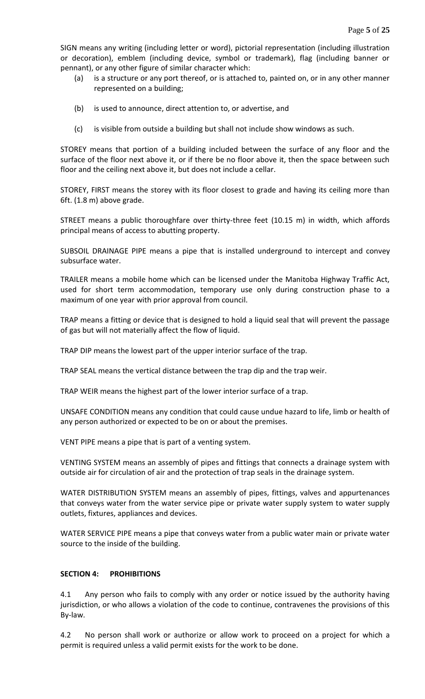SIGN means any writing (including letter or word), pictorial representation (including illustration or decoration), emblem (including device, symbol or trademark), flag (including banner or pennant), or any other figure of similar character which:

- (a) is a structure or any port thereof, or is attached to, painted on, or in any other manner represented on a building;
- (b) is used to announce, direct attention to, or advertise, and
- (c) is visible from outside a building but shall not include show windows as such.

STOREY means that portion of a building included between the surface of any floor and the surface of the floor next above it, or if there be no floor above it, then the space between such floor and the ceiling next above it, but does not include a cellar.

STOREY, FIRST means the storey with its floor closest to grade and having its ceiling more than 6ft. (1.8 m) above grade.

STREET means a public thoroughfare over thirty-three feet (10.15 m) in width, which affords principal means of access to abutting property.

SUBSOIL DRAINAGE PIPE means a pipe that is installed underground to intercept and convey subsurface water.

TRAILER means a mobile home which can be licensed under the Manitoba Highway Traffic Act, used for short term accommodation, temporary use only during construction phase to a maximum of one year with prior approval from council.

TRAP means a fitting or device that is designed to hold a liquid seal that will prevent the passage of gas but will not materially affect the flow of liquid.

TRAP DIP means the lowest part of the upper interior surface of the trap.

TRAP SEAL means the vertical distance between the trap dip and the trap weir.

TRAP WEIR means the highest part of the lower interior surface of a trap.

UNSAFE CONDITION means any condition that could cause undue hazard to life, limb or health of any person authorized or expected to be on or about the premises.

VENT PIPE means a pipe that is part of a venting system.

VENTING SYSTEM means an assembly of pipes and fittings that connects a drainage system with outside air for circulation of air and the protection of trap seals in the drainage system.

WATER DISTRIBUTION SYSTEM means an assembly of pipes, fittings, valves and appurtenances that conveys water from the water service pipe or private water supply system to water supply outlets, fixtures, appliances and devices.

WATER SERVICE PIPE means a pipe that conveys water from a public water main or private water source to the inside of the building.

### **SECTION 4: PROHIBITIONS**

4.1 Any person who fails to comply with any order or notice issued by the authority having jurisdiction, or who allows a violation of the code to continue, contravenes the provisions of this By-law.

4.2 No person shall work or authorize or allow work to proceed on a project for which a permit is required unless a valid permit exists for the work to be done.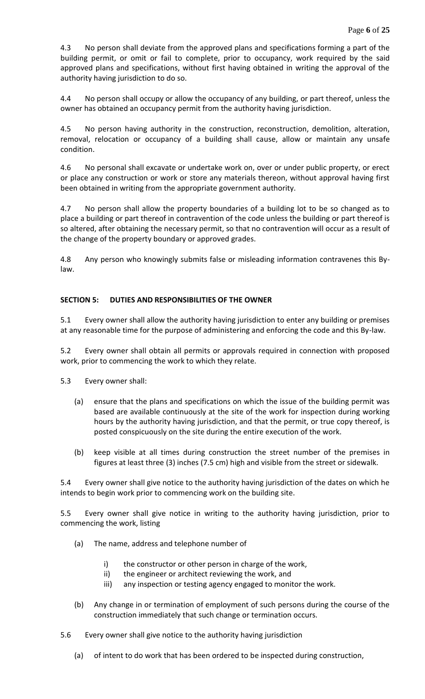4.3 No person shall deviate from the approved plans and specifications forming a part of the building permit, or omit or fail to complete, prior to occupancy, work required by the said approved plans and specifications, without first having obtained in writing the approval of the authority having jurisdiction to do so.

4.4 No person shall occupy or allow the occupancy of any building, or part thereof, unless the owner has obtained an occupancy permit from the authority having jurisdiction.

4.5 No person having authority in the construction, reconstruction, demolition, alteration, removal, relocation or occupancy of a building shall cause, allow or maintain any unsafe condition.

4.6 No personal shall excavate or undertake work on, over or under public property, or erect or place any construction or work or store any materials thereon, without approval having first been obtained in writing from the appropriate government authority.

4.7 No person shall allow the property boundaries of a building lot to be so changed as to place a building or part thereof in contravention of the code unless the building or part thereof is so altered, after obtaining the necessary permit, so that no contravention will occur as a result of the change of the property boundary or approved grades.

4.8 Any person who knowingly submits false or misleading information contravenes this Bylaw.

# **SECTION 5: DUTIES AND RESPONSIBILITIES OF THE OWNER**

5.1 Every owner shall allow the authority having jurisdiction to enter any building or premises at any reasonable time for the purpose of administering and enforcing the code and this By-law.

5.2 Every owner shall obtain all permits or approvals required in connection with proposed work, prior to commencing the work to which they relate.

5.3 Every owner shall:

- (a) ensure that the plans and specifications on which the issue of the building permit was based are available continuously at the site of the work for inspection during working hours by the authority having jurisdiction, and that the permit, or true copy thereof, is posted conspicuously on the site during the entire execution of the work.
- (b) keep visible at all times during construction the street number of the premises in figures at least three (3) inches (7.5 cm) high and visible from the street or sidewalk.

5.4 Every owner shall give notice to the authority having jurisdiction of the dates on which he intends to begin work prior to commencing work on the building site.

5.5 Every owner shall give notice in writing to the authority having jurisdiction, prior to commencing the work, listing

- (a) The name, address and telephone number of
	- i) the constructor or other person in charge of the work,
	- ii) the engineer or architect reviewing the work, and
	- iii) any inspection or testing agency engaged to monitor the work.
- (b) Any change in or termination of employment of such persons during the course of the construction immediately that such change or termination occurs.
- 5.6 Every owner shall give notice to the authority having jurisdiction
	- (a) of intent to do work that has been ordered to be inspected during construction,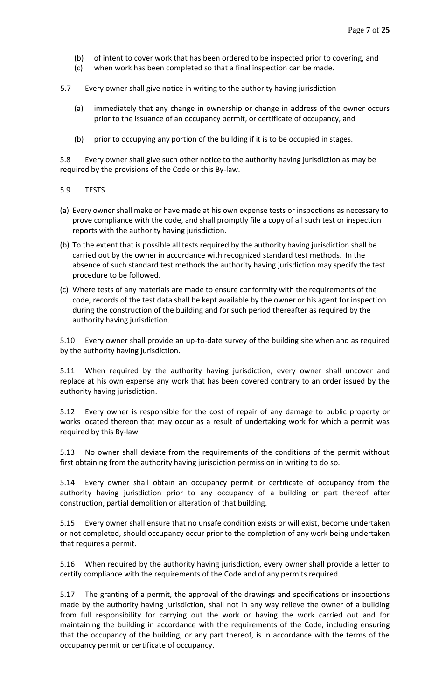- (b) of intent to cover work that has been ordered to be inspected prior to covering, and
- (c) when work has been completed so that a final inspection can be made.
- 5.7 Every owner shall give notice in writing to the authority having jurisdiction
	- (a) immediately that any change in ownership or change in address of the owner occurs prior to the issuance of an occupancy permit, or certificate of occupancy, and
	- (b) prior to occupying any portion of the building if it is to be occupied in stages.

5.8 Every owner shall give such other notice to the authority having jurisdiction as may be required by the provisions of the Code or this By-law.

- 5.9 TESTS
- (a) Every owner shall make or have made at his own expense tests or inspections as necessary to prove compliance with the code, and shall promptly file a copy of all such test or inspection reports with the authority having jurisdiction.
- (b) To the extent that is possible all tests required by the authority having jurisdiction shall be carried out by the owner in accordance with recognized standard test methods. In the absence of such standard test methods the authority having jurisdiction may specify the test procedure to be followed.
- (c) Where tests of any materials are made to ensure conformity with the requirements of the code, records of the test data shall be kept available by the owner or his agent for inspection during the construction of the building and for such period thereafter as required by the authority having jurisdiction.

5.10 Every owner shall provide an up-to-date survey of the building site when and as required by the authority having jurisdiction.

5.11 When required by the authority having jurisdiction, every owner shall uncover and replace at his own expense any work that has been covered contrary to an order issued by the authority having jurisdiction.

5.12 Every owner is responsible for the cost of repair of any damage to public property or works located thereon that may occur as a result of undertaking work for which a permit was required by this By-law.

5.13 No owner shall deviate from the requirements of the conditions of the permit without first obtaining from the authority having jurisdiction permission in writing to do so.

5.14 Every owner shall obtain an occupancy permit or certificate of occupancy from the authority having jurisdiction prior to any occupancy of a building or part thereof after construction, partial demolition or alteration of that building.

5.15 Every owner shall ensure that no unsafe condition exists or will exist, become undertaken or not completed, should occupancy occur prior to the completion of any work being undertaken that requires a permit.

5.16 When required by the authority having jurisdiction, every owner shall provide a letter to certify compliance with the requirements of the Code and of any permits required.

5.17 The granting of a permit, the approval of the drawings and specifications or inspections made by the authority having jurisdiction, shall not in any way relieve the owner of a building from full responsibility for carrying out the work or having the work carried out and for maintaining the building in accordance with the requirements of the Code, including ensuring that the occupancy of the building, or any part thereof, is in accordance with the terms of the occupancy permit or certificate of occupancy.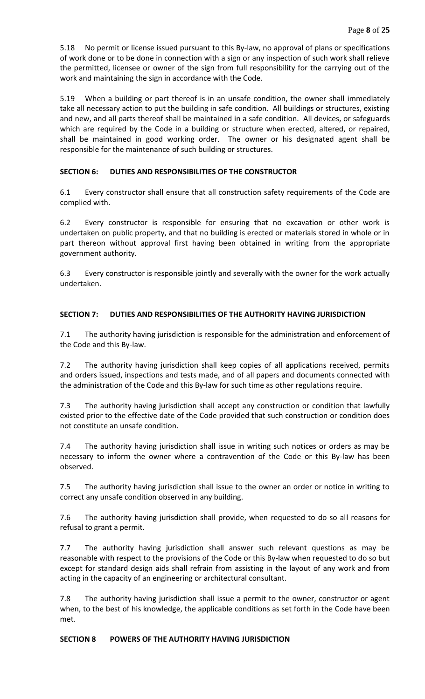5.18 No permit or license issued pursuant to this By-law, no approval of plans or specifications of work done or to be done in connection with a sign or any inspection of such work shall relieve the permitted, licensee or owner of the sign from full responsibility for the carrying out of the work and maintaining the sign in accordance with the Code.

5.19 When a building or part thereof is in an unsafe condition, the owner shall immediately take all necessary action to put the building in safe condition. All buildings or structures, existing and new, and all parts thereof shall be maintained in a safe condition. All devices, or safeguards which are required by the Code in a building or structure when erected, altered, or repaired, shall be maintained in good working order. The owner or his designated agent shall be responsible for the maintenance of such building or structures.

# **SECTION 6: DUTIES AND RESPONSIBILITIES OF THE CONSTRUCTOR**

6.1 Every constructor shall ensure that all construction safety requirements of the Code are complied with.

6.2 Every constructor is responsible for ensuring that no excavation or other work is undertaken on public property, and that no building is erected or materials stored in whole or in part thereon without approval first having been obtained in writing from the appropriate government authority.

6.3 Every constructor is responsible jointly and severally with the owner for the work actually undertaken.

# **SECTION 7: DUTIES AND RESPONSIBILITIES OF THE AUTHORITY HAVING JURISDICTION**

7.1 The authority having jurisdiction is responsible for the administration and enforcement of the Code and this By-law.

7.2 The authority having jurisdiction shall keep copies of all applications received, permits and orders issued, inspections and tests made, and of all papers and documents connected with the administration of the Code and this By-law for such time as other regulations require.

7.3 The authority having jurisdiction shall accept any construction or condition that lawfully existed prior to the effective date of the Code provided that such construction or condition does not constitute an unsafe condition.

7.4 The authority having jurisdiction shall issue in writing such notices or orders as may be necessary to inform the owner where a contravention of the Code or this By-law has been observed.

7.5 The authority having jurisdiction shall issue to the owner an order or notice in writing to correct any unsafe condition observed in any building.

7.6 The authority having jurisdiction shall provide, when requested to do so all reasons for refusal to grant a permit.

7.7 The authority having jurisdiction shall answer such relevant questions as may be reasonable with respect to the provisions of the Code or this By-law when requested to do so but except for standard design aids shall refrain from assisting in the layout of any work and from acting in the capacity of an engineering or architectural consultant.

7.8 The authority having jurisdiction shall issue a permit to the owner, constructor or agent when, to the best of his knowledge, the applicable conditions as set forth in the Code have been met.

### **SECTION 8 POWERS OF THE AUTHORITY HAVING JURISDICTION**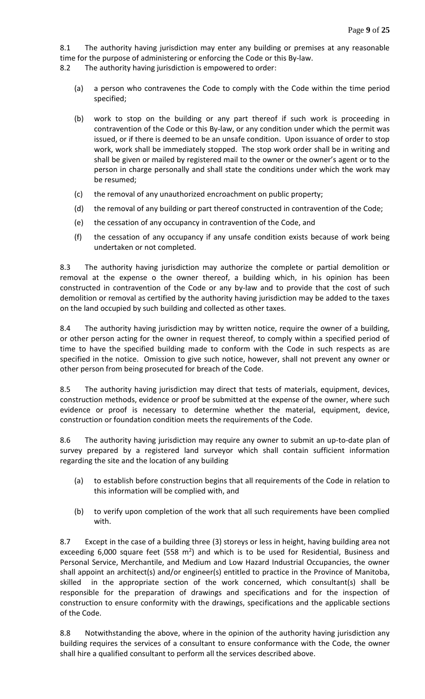8.1 The authority having jurisdiction may enter any building or premises at any reasonable time for the purpose of administering or enforcing the Code or this By-law.

8.2 The authority having jurisdiction is empowered to order:

- (a) a person who contravenes the Code to comply with the Code within the time period specified;
- (b) work to stop on the building or any part thereof if such work is proceeding in contravention of the Code or this By-law, or any condition under which the permit was issued, or if there is deemed to be an unsafe condition. Upon issuance of order to stop work, work shall be immediately stopped. The stop work order shall be in writing and shall be given or mailed by registered mail to the owner or the owner's agent or to the person in charge personally and shall state the conditions under which the work may be resumed;
- (c) the removal of any unauthorized encroachment on public property;
- (d) the removal of any building or part thereof constructed in contravention of the Code;
- (e) the cessation of any occupancy in contravention of the Code, and
- (f) the cessation of any occupancy if any unsafe condition exists because of work being undertaken or not completed.

8.3 The authority having jurisdiction may authorize the complete or partial demolition or removal at the expense o the owner thereof, a building which, in his opinion has been constructed in contravention of the Code or any by-law and to provide that the cost of such demolition or removal as certified by the authority having jurisdiction may be added to the taxes on the land occupied by such building and collected as other taxes.

8.4 The authority having jurisdiction may by written notice, require the owner of a building, or other person acting for the owner in request thereof, to comply within a specified period of time to have the specified building made to conform with the Code in such respects as are specified in the notice. Omission to give such notice, however, shall not prevent any owner or other person from being prosecuted for breach of the Code.

8.5 The authority having jurisdiction may direct that tests of materials, equipment, devices, construction methods, evidence or proof be submitted at the expense of the owner, where such evidence or proof is necessary to determine whether the material, equipment, device, construction or foundation condition meets the requirements of the Code.

8.6 The authority having jurisdiction may require any owner to submit an up-to-date plan of survey prepared by a registered land surveyor which shall contain sufficient information regarding the site and the location of any building

- (a) to establish before construction begins that all requirements of the Code in relation to this information will be complied with, and
- (b) to verify upon completion of the work that all such requirements have been complied with.

8.7 Except in the case of a building three (3) storeys or less in height, having building area not exceeding 6,000 square feet (558  $m^2$ ) and which is to be used for Residential, Business and Personal Service, Merchantile, and Medium and Low Hazard Industrial Occupancies, the owner shall appoint an architect(s) and/or engineer(s) entitled to practice in the Province of Manitoba, skilled in the appropriate section of the work concerned, which consultant(s) shall be responsible for the preparation of drawings and specifications and for the inspection of construction to ensure conformity with the drawings, specifications and the applicable sections of the Code.

8.8 Notwithstanding the above, where in the opinion of the authority having jurisdiction any building requires the services of a consultant to ensure conformance with the Code, the owner shall hire a qualified consultant to perform all the services described above.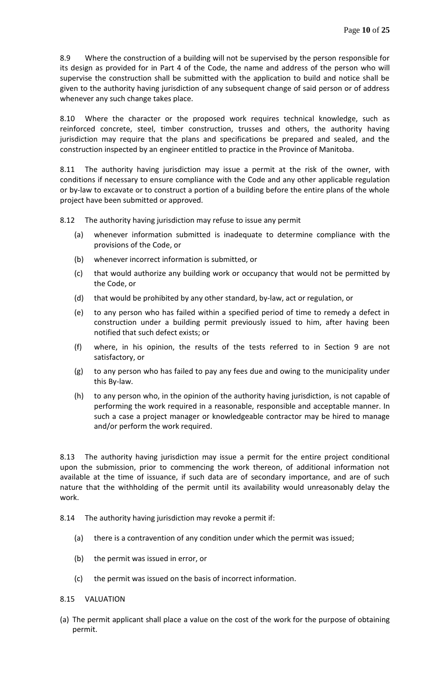8.9 Where the construction of a building will not be supervised by the person responsible for its design as provided for in Part 4 of the Code, the name and address of the person who will supervise the construction shall be submitted with the application to build and notice shall be given to the authority having jurisdiction of any subsequent change of said person or of address whenever any such change takes place.

8.10 Where the character or the proposed work requires technical knowledge, such as reinforced concrete, steel, timber construction, trusses and others, the authority having jurisdiction may require that the plans and specifications be prepared and sealed, and the construction inspected by an engineer entitled to practice in the Province of Manitoba.

8.11 The authority having jurisdiction may issue a permit at the risk of the owner, with conditions if necessary to ensure compliance with the Code and any other applicable regulation or by-law to excavate or to construct a portion of a building before the entire plans of the whole project have been submitted or approved.

8.12 The authority having jurisdiction may refuse to issue any permit

- (a) whenever information submitted is inadequate to determine compliance with the provisions of the Code, or
- (b) whenever incorrect information is submitted, or
- (c) that would authorize any building work or occupancy that would not be permitted by the Code, or
- (d) that would be prohibited by any other standard, by-law, act or regulation, or
- (e) to any person who has failed within a specified period of time to remedy a defect in construction under a building permit previously issued to him, after having been notified that such defect exists; or
- (f) where, in his opinion, the results of the tests referred to in Section 9 are not satisfactory, or
- (g) to any person who has failed to pay any fees due and owing to the municipality under this By-law.
- (h) to any person who, in the opinion of the authority having jurisdiction, is not capable of performing the work required in a reasonable, responsible and acceptable manner. In such a case a project manager or knowledgeable contractor may be hired to manage and/or perform the work required.

8.13 The authority having jurisdiction may issue a permit for the entire project conditional upon the submission, prior to commencing the work thereon, of additional information not available at the time of issuance, if such data are of secondary importance, and are of such nature that the withholding of the permit until its availability would unreasonably delay the work.

- 8.14 The authority having jurisdiction may revoke a permit if:
	- (a) there is a contravention of any condition under which the permit was issued;
	- (b) the permit was issued in error, or
	- (c) the permit was issued on the basis of incorrect information.

#### 8.15 VALUATION

(a) The permit applicant shall place a value on the cost of the work for the purpose of obtaining permit.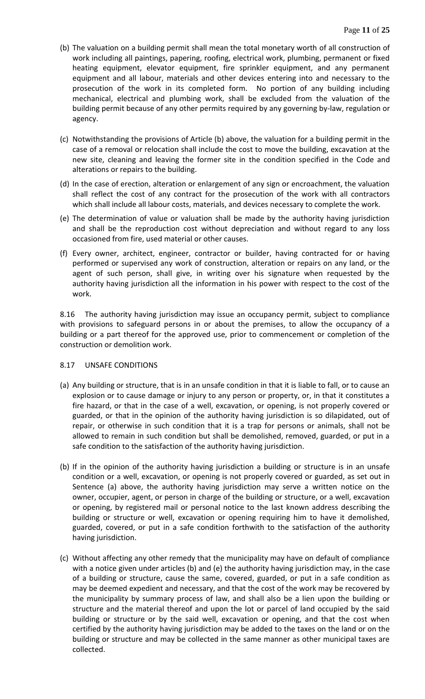- (b) The valuation on a building permit shall mean the total monetary worth of all construction of work including all paintings, papering, roofing, electrical work, plumbing, permanent or fixed heating equipment, elevator equipment, fire sprinkler equipment, and any permanent equipment and all labour, materials and other devices entering into and necessary to the prosecution of the work in its completed form. No portion of any building including mechanical, electrical and plumbing work, shall be excluded from the valuation of the building permit because of any other permits required by any governing by-law, regulation or agency.
- (c) Notwithstanding the provisions of Article (b) above, the valuation for a building permit in the case of a removal or relocation shall include the cost to move the building, excavation at the new site, cleaning and leaving the former site in the condition specified in the Code and alterations or repairs to the building.
- (d) In the case of erection, alteration or enlargement of any sign or encroachment, the valuation shall reflect the cost of any contract for the prosecution of the work with all contractors which shall include all labour costs, materials, and devices necessary to complete the work.
- (e) The determination of value or valuation shall be made by the authority having jurisdiction and shall be the reproduction cost without depreciation and without regard to any loss occasioned from fire, used material or other causes.
- (f) Every owner, architect, engineer, contractor or builder, having contracted for or having performed or supervised any work of construction, alteration or repairs on any land, or the agent of such person, shall give, in writing over his signature when requested by the authority having jurisdiction all the information in his power with respect to the cost of the work.

8.16 The authority having jurisdiction may issue an occupancy permit, subject to compliance with provisions to safeguard persons in or about the premises, to allow the occupancy of a building or a part thereof for the approved use, prior to commencement or completion of the construction or demolition work.

### 8.17 UNSAFE CONDITIONS

- (a) Any building or structure, that is in an unsafe condition in that it is liable to fall, or to cause an explosion or to cause damage or injury to any person or property, or, in that it constitutes a fire hazard, or that in the case of a well, excavation, or opening, is not properly covered or guarded, or that in the opinion of the authority having jurisdiction is so dilapidated, out of repair, or otherwise in such condition that it is a trap for persons or animals, shall not be allowed to remain in such condition but shall be demolished, removed, guarded, or put in a safe condition to the satisfaction of the authority having jurisdiction.
- (b) If in the opinion of the authority having jurisdiction a building or structure is in an unsafe condition or a well, excavation, or opening is not properly covered or guarded, as set out in Sentence (a) above, the authority having jurisdiction may serve a written notice on the owner, occupier, agent, or person in charge of the building or structure, or a well, excavation or opening, by registered mail or personal notice to the last known address describing the building or structure or well, excavation or opening requiring him to have it demolished, guarded, covered, or put in a safe condition forthwith to the satisfaction of the authority having jurisdiction.
- (c) Without affecting any other remedy that the municipality may have on default of compliance with a notice given under articles (b) and (e) the authority having jurisdiction may, in the case of a building or structure, cause the same, covered, guarded, or put in a safe condition as may be deemed expedient and necessary, and that the cost of the work may be recovered by the municipality by summary process of law, and shall also be a lien upon the building or structure and the material thereof and upon the lot or parcel of land occupied by the said building or structure or by the said well, excavation or opening, and that the cost when certified by the authority having jurisdiction may be added to the taxes on the land or on the building or structure and may be collected in the same manner as other municipal taxes are collected.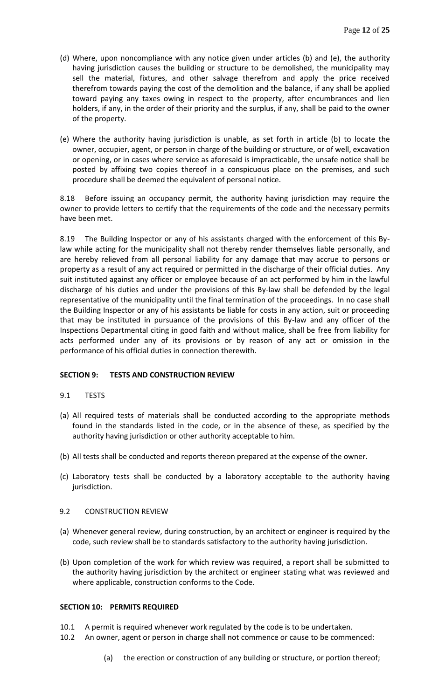- (d) Where, upon noncompliance with any notice given under articles (b) and (e), the authority having jurisdiction causes the building or structure to be demolished, the municipality may sell the material, fixtures, and other salvage therefrom and apply the price received therefrom towards paying the cost of the demolition and the balance, if any shall be applied toward paying any taxes owing in respect to the property, after encumbrances and lien holders, if any, in the order of their priority and the surplus, if any, shall be paid to the owner of the property.
- (e) Where the authority having jurisdiction is unable, as set forth in article (b) to locate the owner, occupier, agent, or person in charge of the building or structure, or of well, excavation or opening, or in cases where service as aforesaid is impracticable, the unsafe notice shall be posted by affixing two copies thereof in a conspicuous place on the premises, and such procedure shall be deemed the equivalent of personal notice.

8.18 Before issuing an occupancy permit, the authority having jurisdiction may require the owner to provide letters to certify that the requirements of the code and the necessary permits have been met.

8.19 The Building Inspector or any of his assistants charged with the enforcement of this Bylaw while acting for the municipality shall not thereby render themselves liable personally, and are hereby relieved from all personal liability for any damage that may accrue to persons or property as a result of any act required or permitted in the discharge of their official duties. Any suit instituted against any officer or employee because of an act performed by him in the lawful discharge of his duties and under the provisions of this By-law shall be defended by the legal representative of the municipality until the final termination of the proceedings. In no case shall the Building Inspector or any of his assistants be liable for costs in any action, suit or proceeding that may be instituted in pursuance of the provisions of this By-law and any officer of the Inspections Departmental citing in good faith and without malice, shall be free from liability for acts performed under any of its provisions or by reason of any act or omission in the performance of his official duties in connection therewith.

### **SECTION 9: TESTS AND CONSTRUCTION REVIEW**

### 9.1 TESTS

- (a) All required tests of materials shall be conducted according to the appropriate methods found in the standards listed in the code, or in the absence of these, as specified by the authority having jurisdiction or other authority acceptable to him.
- (b) All tests shall be conducted and reports thereon prepared at the expense of the owner.
- (c) Laboratory tests shall be conducted by a laboratory acceptable to the authority having jurisdiction.

#### 9.2 CONSTRUCTION REVIEW

- (a) Whenever general review, during construction, by an architect or engineer is required by the code, such review shall be to standards satisfactory to the authority having jurisdiction.
- (b) Upon completion of the work for which review was required, a report shall be submitted to the authority having jurisdiction by the architect or engineer stating what was reviewed and where applicable, construction conforms to the Code.

### **SECTION 10: PERMITS REQUIRED**

- 10.1 A permit is required whenever work regulated by the code is to be undertaken.
- 10.2 An owner, agent or person in charge shall not commence or cause to be commenced:
	- (a) the erection or construction of any building or structure, or portion thereof;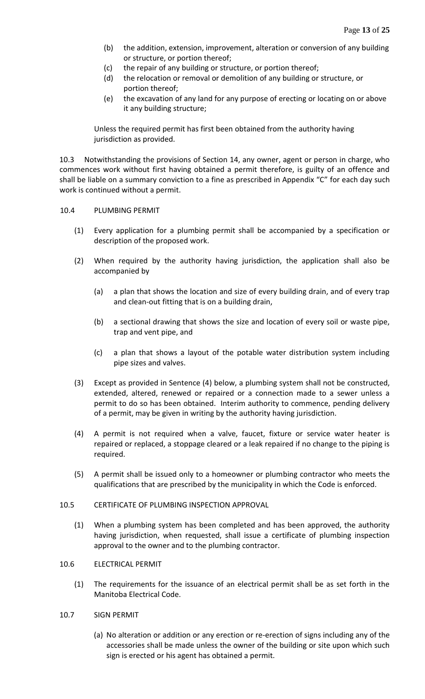- (b) the addition, extension, improvement, alteration or conversion of any building or structure, or portion thereof;
- (c) the repair of any building or structure, or portion thereof;
- (d) the relocation or removal or demolition of any building or structure, or portion thereof;
- (e) the excavation of any land for any purpose of erecting or locating on or above it any building structure;

Unless the required permit has first been obtained from the authority having jurisdiction as provided.

10.3 Notwithstanding the provisions of Section 14, any owner, agent or person in charge, who commences work without first having obtained a permit therefore, is guilty of an offence and shall be liable on a summary conviction to a fine as prescribed in Appendix "C" for each day such work is continued without a permit.

#### 10.4 PLUMBING PERMIT

- (1) Every application for a plumbing permit shall be accompanied by a specification or description of the proposed work.
- (2) When required by the authority having jurisdiction, the application shall also be accompanied by
	- (a) a plan that shows the location and size of every building drain, and of every trap and clean-out fitting that is on a building drain,
	- (b) a sectional drawing that shows the size and location of every soil or waste pipe, trap and vent pipe, and
	- (c) a plan that shows a layout of the potable water distribution system including pipe sizes and valves.
- (3) Except as provided in Sentence (4) below, a plumbing system shall not be constructed, extended, altered, renewed or repaired or a connection made to a sewer unless a permit to do so has been obtained. Interim authority to commence, pending delivery of a permit, may be given in writing by the authority having jurisdiction.
- (4) A permit is not required when a valve, faucet, fixture or service water heater is repaired or replaced, a stoppage cleared or a leak repaired if no change to the piping is required.
- (5) A permit shall be issued only to a homeowner or plumbing contractor who meets the qualifications that are prescribed by the municipality in which the Code is enforced.

### 10.5 CERTIFICATE OF PLUMBING INSPECTION APPROVAL

(1) When a plumbing system has been completed and has been approved, the authority having jurisdiction, when requested, shall issue a certificate of plumbing inspection approval to the owner and to the plumbing contractor.

### 10.6 ELECTRICAL PERMIT

- (1) The requirements for the issuance of an electrical permit shall be as set forth in the Manitoba Electrical Code.
- 10.7 SIGN PERMIT
	- (a) No alteration or addition or any erection or re-erection of signs including any of the accessories shall be made unless the owner of the building or site upon which such sign is erected or his agent has obtained a permit.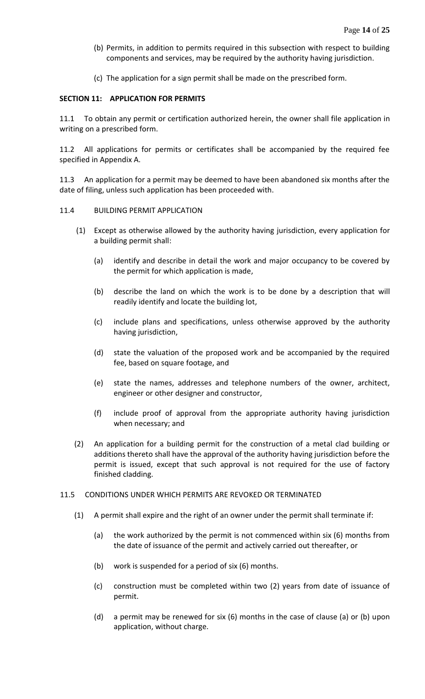- (b) Permits, in addition to permits required in this subsection with respect to building components and services, may be required by the authority having jurisdiction.
- (c) The application for a sign permit shall be made on the prescribed form.

#### **SECTION 11: APPLICATION FOR PERMITS**

11.1 To obtain any permit or certification authorized herein, the owner shall file application in writing on a prescribed form.

11.2 All applications for permits or certificates shall be accompanied by the required fee specified in Appendix A.

11.3 An application for a permit may be deemed to have been abandoned six months after the date of filing, unless such application has been proceeded with.

#### 11.4 BUILDING PERMIT APPLICATION

- (1) Except as otherwise allowed by the authority having jurisdiction, every application for a building permit shall:
	- (a) identify and describe in detail the work and major occupancy to be covered by the permit for which application is made,
	- (b) describe the land on which the work is to be done by a description that will readily identify and locate the building lot,
	- (c) include plans and specifications, unless otherwise approved by the authority having jurisdiction,
	- (d) state the valuation of the proposed work and be accompanied by the required fee, based on square footage, and
	- (e) state the names, addresses and telephone numbers of the owner, architect, engineer or other designer and constructor,
	- (f) include proof of approval from the appropriate authority having jurisdiction when necessary; and
- (2) An application for a building permit for the construction of a metal clad building or additions thereto shall have the approval of the authority having jurisdiction before the permit is issued, except that such approval is not required for the use of factory finished cladding.
- 11.5 CONDITIONS UNDER WHICH PERMITS ARE REVOKED OR TERMINATED
	- (1) A permit shall expire and the right of an owner under the permit shall terminate if:
		- (a) the work authorized by the permit is not commenced within six (6) months from the date of issuance of the permit and actively carried out thereafter, or
		- (b) work is suspended for a period of six (6) months.
		- (c) construction must be completed within two (2) years from date of issuance of permit.
		- (d) a permit may be renewed for six (6) months in the case of clause (a) or (b) upon application, without charge.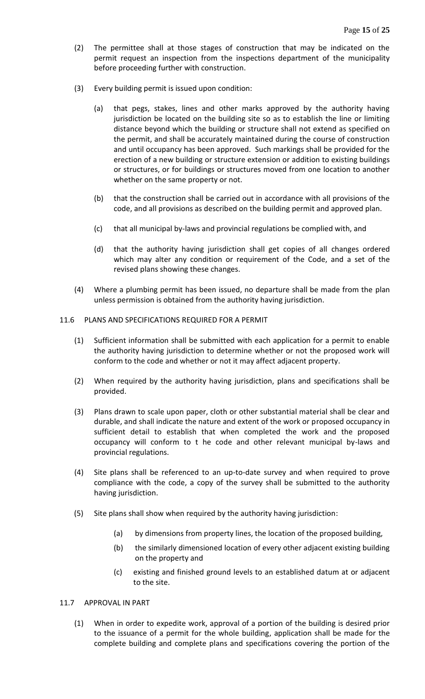- (2) The permittee shall at those stages of construction that may be indicated on the permit request an inspection from the inspections department of the municipality before proceeding further with construction.
- (3) Every building permit is issued upon condition:
	- (a) that pegs, stakes, lines and other marks approved by the authority having jurisdiction be located on the building site so as to establish the line or limiting distance beyond which the building or structure shall not extend as specified on the permit, and shall be accurately maintained during the course of construction and until occupancy has been approved. Such markings shall be provided for the erection of a new building or structure extension or addition to existing buildings or structures, or for buildings or structures moved from one location to another whether on the same property or not.
	- (b) that the construction shall be carried out in accordance with all provisions of the code, and all provisions as described on the building permit and approved plan.
	- (c) that all municipal by-laws and provincial regulations be complied with, and
	- (d) that the authority having jurisdiction shall get copies of all changes ordered which may alter any condition or requirement of the Code, and a set of the revised plans showing these changes.
- (4) Where a plumbing permit has been issued, no departure shall be made from the plan unless permission is obtained from the authority having jurisdiction.

### 11.6 PLANS AND SPECIFICATIONS REQUIRED FOR A PERMIT

- (1) Sufficient information shall be submitted with each application for a permit to enable the authority having jurisdiction to determine whether or not the proposed work will conform to the code and whether or not it may affect adjacent property.
- (2) When required by the authority having jurisdiction, plans and specifications shall be provided.
- (3) Plans drawn to scale upon paper, cloth or other substantial material shall be clear and durable, and shall indicate the nature and extent of the work or proposed occupancy in sufficient detail to establish that when completed the work and the proposed occupancy will conform to t he code and other relevant municipal by-laws and provincial regulations.
- (4) Site plans shall be referenced to an up-to-date survey and when required to prove compliance with the code, a copy of the survey shall be submitted to the authority having jurisdiction.
- (5) Site plans shall show when required by the authority having jurisdiction:
	- (a) by dimensions from property lines, the location of the proposed building,
	- (b) the similarly dimensioned location of every other adjacent existing building on the property and
	- (c) existing and finished ground levels to an established datum at or adjacent to the site.

### 11.7 APPROVAL IN PART

(1) When in order to expedite work, approval of a portion of the building is desired prior to the issuance of a permit for the whole building, application shall be made for the complete building and complete plans and specifications covering the portion of the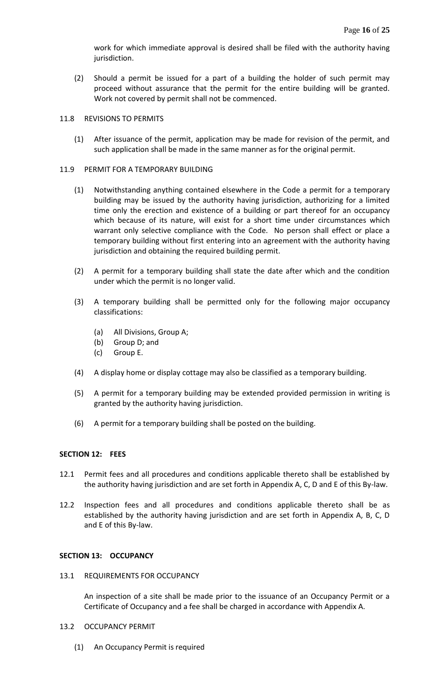work for which immediate approval is desired shall be filed with the authority having jurisdiction.

(2) Should a permit be issued for a part of a building the holder of such permit may proceed without assurance that the permit for the entire building will be granted. Work not covered by permit shall not be commenced.

#### 11.8 REVISIONS TO PERMITS

(1) After issuance of the permit, application may be made for revision of the permit, and such application shall be made in the same manner as for the original permit.

#### 11.9 PERMIT FOR A TEMPORARY BUILDING

- (1) Notwithstanding anything contained elsewhere in the Code a permit for a temporary building may be issued by the authority having jurisdiction, authorizing for a limited time only the erection and existence of a building or part thereof for an occupancy which because of its nature, will exist for a short time under circumstances which warrant only selective compliance with the Code. No person shall effect or place a temporary building without first entering into an agreement with the authority having jurisdiction and obtaining the required building permit.
- (2) A permit for a temporary building shall state the date after which and the condition under which the permit is no longer valid.
- (3) A temporary building shall be permitted only for the following major occupancy classifications:
	- (a) All Divisions, Group A;
	- (b) Group D; and
	- (c) Group E.
- (4) A display home or display cottage may also be classified as a temporary building.
- (5) A permit for a temporary building may be extended provided permission in writing is granted by the authority having jurisdiction.
- (6) A permit for a temporary building shall be posted on the building.

### **SECTION 12: FEES**

- 12.1 Permit fees and all procedures and conditions applicable thereto shall be established by the authority having jurisdiction and are set forth in Appendix A, C, D and E of this By-law.
- 12.2 Inspection fees and all procedures and conditions applicable thereto shall be as established by the authority having jurisdiction and are set forth in Appendix A, B, C, D and E of this By-law.

#### **SECTION 13: OCCUPANCY**

13.1 REQUIREMENTS FOR OCCUPANCY

An inspection of a site shall be made prior to the issuance of an Occupancy Permit or a Certificate of Occupancy and a fee shall be charged in accordance with Appendix A.

- 13.2 OCCUPANCY PERMIT
	- (1) An Occupancy Permit is required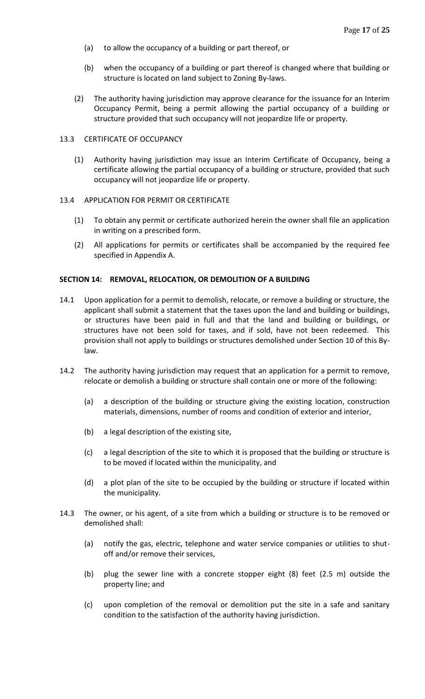- (a) to allow the occupancy of a building or part thereof, or
- (b) when the occupancy of a building or part thereof is changed where that building or structure is located on land subject to Zoning By-laws.
- (2) The authority having jurisdiction may approve clearance for the issuance for an Interim Occupancy Permit, being a permit allowing the partial occupancy of a building or structure provided that such occupancy will not jeopardize life or property.

## 13.3 CERTIFICATE OF OCCUPANCY

(1) Authority having jurisdiction may issue an Interim Certificate of Occupancy, being a certificate allowing the partial occupancy of a building or structure, provided that such occupancy will not jeopardize life or property.

# 13.4 APPLICATION FOR PERMIT OR CERTIFICATE

- (1) To obtain any permit or certificate authorized herein the owner shall file an application in writing on a prescribed form.
- (2) All applications for permits or certificates shall be accompanied by the required fee specified in Appendix A.

### **SECTION 14: REMOVAL, RELOCATION, OR DEMOLITION OF A BUILDING**

- 14.1 Upon application for a permit to demolish, relocate, or remove a building or structure, the applicant shall submit a statement that the taxes upon the land and building or buildings, or structures have been paid in full and that the land and building or buildings, or structures have not been sold for taxes, and if sold, have not been redeemed. This provision shall not apply to buildings or structures demolished under Section 10 of this Bylaw.
- 14.2 The authority having jurisdiction may request that an application for a permit to remove, relocate or demolish a building or structure shall contain one or more of the following:
	- (a) a description of the building or structure giving the existing location, construction materials, dimensions, number of rooms and condition of exterior and interior,
	- (b) a legal description of the existing site,
	- (c) a legal description of the site to which it is proposed that the building or structure is to be moved if located within the municipality, and
	- (d) a plot plan of the site to be occupied by the building or structure if located within the municipality.
- 14.3 The owner, or his agent, of a site from which a building or structure is to be removed or demolished shall:
	- (a) notify the gas, electric, telephone and water service companies or utilities to shutoff and/or remove their services,
	- (b) plug the sewer line with a concrete stopper eight (8) feet (2.5 m) outside the property line; and
	- (c) upon completion of the removal or demolition put the site in a safe and sanitary condition to the satisfaction of the authority having jurisdiction.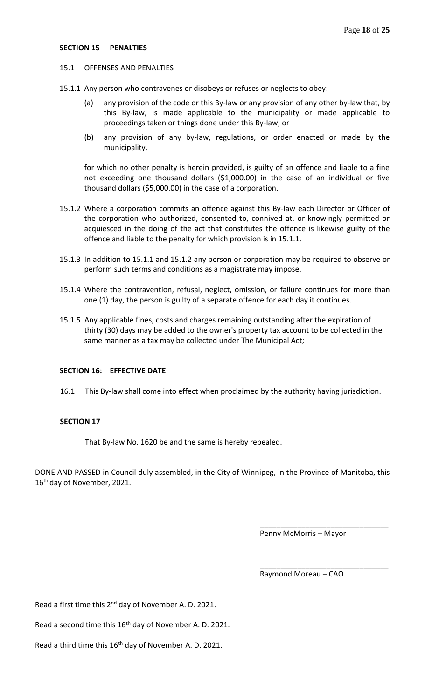#### 15.1 OFFENSES AND PENALTIES

- 15.1.1 Any person who contravenes or disobeys or refuses or neglects to obey:
	- (a) any provision of the code or this By-law or any provision of any other by-law that, by this By-law, is made applicable to the municipality or made applicable to proceedings taken or things done under this By-law, or
	- (b) any provision of any by-law, regulations, or order enacted or made by the municipality.

for which no other penalty is herein provided, is guilty of an offence and liable to a fine not exceeding one thousand dollars (\$1,000.00) in the case of an individual or five thousand dollars (\$5,000.00) in the case of a corporation.

- 15.1.2 Where a corporation commits an offence against this By-law each Director or Officer of the corporation who authorized, consented to, connived at, or knowingly permitted or acquiesced in the doing of the act that constitutes the offence is likewise guilty of the offence and liable to the penalty for which provision is in 15.1.1.
- 15.1.3 In addition to 15.1.1 and 15.1.2 any person or corporation may be required to observe or perform such terms and conditions as a magistrate may impose.
- 15.1.4 Where the contravention, refusal, neglect, omission, or failure continues for more than one (1) day, the person is guilty of a separate offence for each day it continues.
- 15.1.5 Any applicable fines, costs and charges remaining outstanding after the expiration of thirty (30) days may be added to the owner's property tax account to be collected in the same manner as a tax may be collected under The Municipal Act;

#### **SECTION 16: EFFECTIVE DATE**

16.1 This By-law shall come into effect when proclaimed by the authority having jurisdiction.

#### **SECTION 17**

That By-law No. 1620 be and the same is hereby repealed.

DONE AND PASSED in Council duly assembled, in the City of Winnipeg, in the Province of Manitoba, this 16<sup>th</sup> day of November, 2021.

Penny McMorris – Mayor

\_\_\_\_\_\_\_\_\_\_\_\_\_\_\_\_\_\_\_\_\_\_\_\_\_\_\_\_\_\_\_

\_\_\_\_\_\_\_\_\_\_\_\_\_\_\_\_\_\_\_\_\_\_\_\_\_\_\_\_\_\_\_

Raymond Moreau – CAO

Read a first time this 2<sup>nd</sup> day of November A. D. 2021.

Read a second time this 16<sup>th</sup> day of November A. D. 2021.

Read a third time this  $16<sup>th</sup>$  day of November A. D. 2021.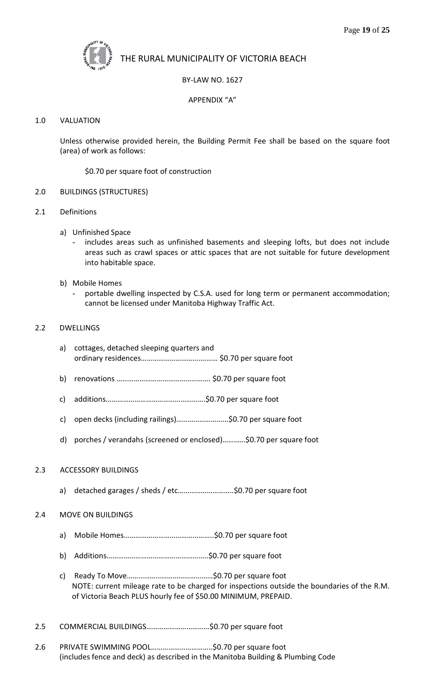

# BY-LAW NO. 1627

## APPENDIX "A"

#### 1.0 VALUATION

Unless otherwise provided herein, the Building Permit Fee shall be based on the square foot (area) of work as follows:

\$0.70 per square foot of construction

- 2.0 BUILDINGS (STRUCTURES)
- 2.1 Definitions
	- a) Unfinished Space
		- includes areas such as unfinished basements and sleeping lofts, but does not include areas such as crawl spaces or attic spaces that are not suitable for future development into habitable space.
	- b) Mobile Homes
		- portable dwelling inspected by C.S.A. used for long term or permanent accommodation; cannot be licensed under Manitoba Highway Traffic Act.

#### 2.2 DWELLINGS

- a) cottages, detached sleeping quarters and ordinary residences………………………….……… \$0.70 per square foot
- b) renovations …………………………………………. \$0.70 per square foot
- c) additions…………………………………………….\$0.70 per square foot
- c) open decks (including railings)……………………...\$0.70 per square foot
- d) porches / verandahs (screened or enclosed)…………\$0.70 per square foot

#### 2.3 ACCESSORY BUILDINGS

a) detached garages / sheds / etc………………………..\$0.70 per square foot

#### 2.4 MOVE ON BUILDINGS

- a) Mobile Homes………………………………………..\$0.70 per square foot
- b) Additions……………………………………………..\$0.70 per square foot
- c) Ready To Move………………………………………\$0.70 per square foot NOTE: current mileage rate to be charged for inspections outside the boundaries of the R.M. of Victoria Beach PLUS hourly fee of \$50.00 MINIMUM, PREPAID.
- 2.5 COMMERCIAL BUILDINGS……………………………\$0.70 per square foot
- 2.6 PRIVATE SWIMMING POOL…………………………..\$0.70 per square foot (includes fence and deck) as described in the Manitoba Building & Plumbing Code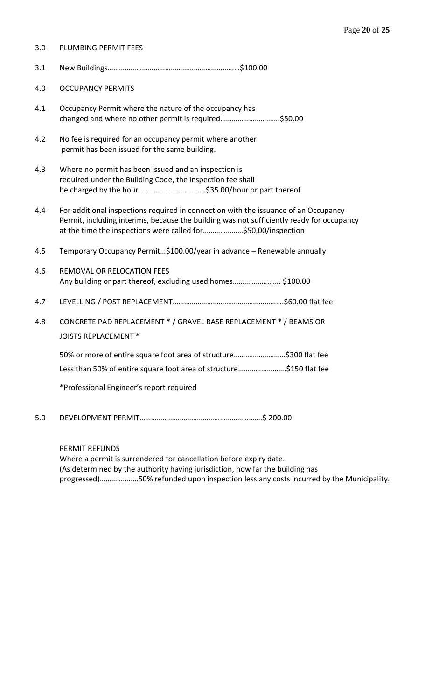| 3.0 | PLUMBING PERMIT FEES                                                                                                                                                                                                                              |
|-----|---------------------------------------------------------------------------------------------------------------------------------------------------------------------------------------------------------------------------------------------------|
| 3.1 |                                                                                                                                                                                                                                                   |
| 4.0 | <b>OCCUPANCY PERMITS</b>                                                                                                                                                                                                                          |
| 4.1 | Occupancy Permit where the nature of the occupancy has<br>changed and where no other permit is required\$50.00                                                                                                                                    |
| 4.2 | No fee is required for an occupancy permit where another<br>permit has been issued for the same building.                                                                                                                                         |
| 4.3 | Where no permit has been issued and an inspection is<br>required under the Building Code, the inspection fee shall                                                                                                                                |
| 4.4 | For additional inspections required in connection with the issuance of an Occupancy<br>Permit, including interims, because the building was not sufficiently ready for occupancy<br>at the time the inspections were called for\$50.00/inspection |
| 4.5 | Temporary Occupancy Permit\$100.00/year in advance - Renewable annually                                                                                                                                                                           |
| 4.6 | REMOVAL OR RELOCATION FEES<br>Any building or part thereof, excluding used homes \$100.00                                                                                                                                                         |
| 4.7 |                                                                                                                                                                                                                                                   |
| 4.8 | CONCRETE PAD REPLACEMENT * / GRAVEL BASE REPLACEMENT * / BEAMS OR<br><b>JOISTS REPLACEMENT *</b>                                                                                                                                                  |
|     | 50% or more of entire square foot area of structure\$300 flat fee                                                                                                                                                                                 |
|     | Less than 50% of entire square foot area of structure\$150 flat fee                                                                                                                                                                               |
|     | *Professional Engineer's report required                                                                                                                                                                                                          |
|     |                                                                                                                                                                                                                                                   |

5.0 DEVELOPMENT PERMIT……………………………………………………….\$ 200.00

PERMIT REFUNDS

Where a permit is surrendered for cancellation before expiry date. (As determined by the authority having jurisdiction, how far the building has progressed)……………..…50% refunded upon inspection less any costs incurred by the Municipality.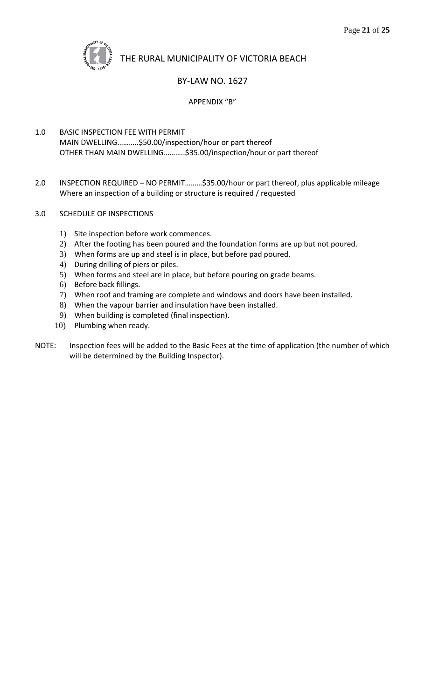

# BY-LAW NO. 1627

# APPENDIX "B"

- 1.0 BASIC INSPECTION FEE WITH PERMIT MAIN DWELLING………..\$50.00/inspection/hour or part thereof OTHER THAN MAIN DWELLING………..\$35.00/inspection/hour or part thereof
- 2.0 INSPECTION REQUIRED NO PERMIT………\$35.00/hour or part thereof, plus applicable mileage Where an inspection of a building or structure is required / requested
- 3.0 SCHEDULE OF INSPECTIONS
	- 1) Site inspection before work commences.
	- 2) After the footing has been poured and the foundation forms are up but not poured.
	- 3) When forms are up and steel is in place, but before pad poured.
	- 4) During drilling of piers or piles.
	- 5) When forms and steel are in place, but before pouring on grade beams.
	- 6) Before back fillings.
	- 7) When roof and framing are complete and windows and doors have been installed.
	- 8) When the vapour barrier and insulation have been installed.
	- 9) When building is completed (final inspection).
	- 10) Plumbing when ready.
- NOTE: Inspection fees will be added to the Basic Fees at the time of application (the number of which will be determined by the Building Inspector).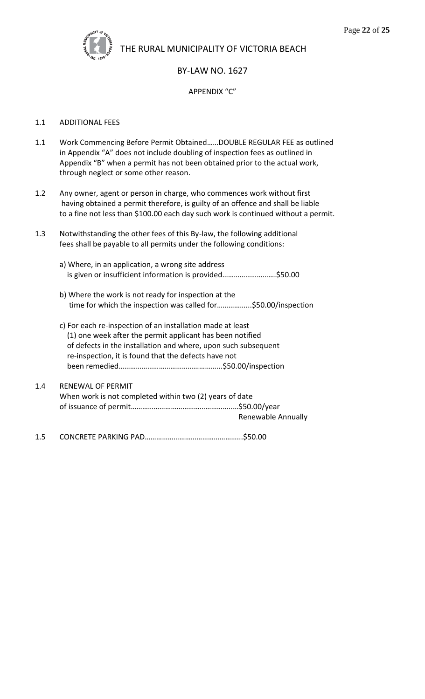

# BY-LAW NO. 1627

### APPENDIX "C"

#### 1.1 ADDITIONAL FEES

- 1.1 Work Commencing Before Permit Obtained……DOUBLE REGULAR FEE as outlined in Appendix "A" does not include doubling of inspection fees as outlined in Appendix "B" when a permit has not been obtained prior to the actual work, through neglect or some other reason.
- 1.2 Any owner, agent or person in charge, who commences work without first having obtained a permit therefore, is guilty of an offence and shall be liable to a fine not less than \$100.00 each day such work is continued without a permit.
- 1.3 Notwithstanding the other fees of this By-law, the following additional fees shall be payable to all permits under the following conditions:
	- a) Where, in an application, a wrong site address is given or insufficient information is provided……………………….\$50.00
	- b) Where the work is not ready for inspection at the time for which the inspection was called for……………...\$50.00/inspection
	- c) For each re-inspection of an installation made at least (1) one week after the permit applicant has been notified of defects in the installation and where, upon such subsequent re-inspection, it is found that the defects have not been remedied……………………………………………...\$50.00/inspection
- 1.4 RENEWAL OF PERMIT When work is not completed within two (2) years of date of issuance of permit………………………………………………..\$50.00/year Renewable Annually

1.5 CONCRETE PARKING PAD…………………………………………...\$50.00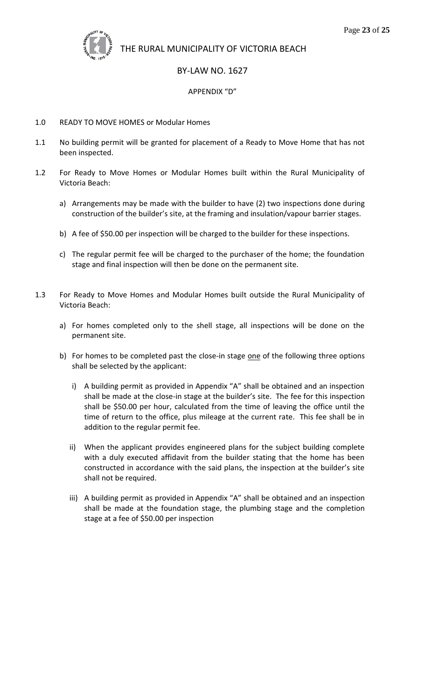

# BY-LAW NO. 1627

### APPENDIX "D"

#### 1.0 READY TO MOVE HOMES or Modular Homes

- 1.1 No building permit will be granted for placement of a Ready to Move Home that has not been inspected.
- 1.2 For Ready to Move Homes or Modular Homes built within the Rural Municipality of Victoria Beach:
	- a) Arrangements may be made with the builder to have (2) two inspections done during construction of the builder's site, at the framing and insulation/vapour barrier stages.
	- b) A fee of \$50.00 per inspection will be charged to the builder for these inspections.
	- c) The regular permit fee will be charged to the purchaser of the home; the foundation stage and final inspection will then be done on the permanent site.
- 1.3 For Ready to Move Homes and Modular Homes built outside the Rural Municipality of Victoria Beach:
	- a) For homes completed only to the shell stage, all inspections will be done on the permanent site.
	- b) For homes to be completed past the close-in stage one of the following three options shall be selected by the applicant:
		- i) A building permit as provided in Appendix "A" shall be obtained and an inspection shall be made at the close-in stage at the builder's site. The fee for this inspection shall be \$50.00 per hour, calculated from the time of leaving the office until the time of return to the office, plus mileage at the current rate. This fee shall be in addition to the regular permit fee.
		- ii) When the applicant provides engineered plans for the subject building complete with a duly executed affidavit from the builder stating that the home has been constructed in accordance with the said plans, the inspection at the builder's site shall not be required.
		- iii) A building permit as provided in Appendix "A" shall be obtained and an inspection shall be made at the foundation stage, the plumbing stage and the completion stage at a fee of \$50.00 per inspection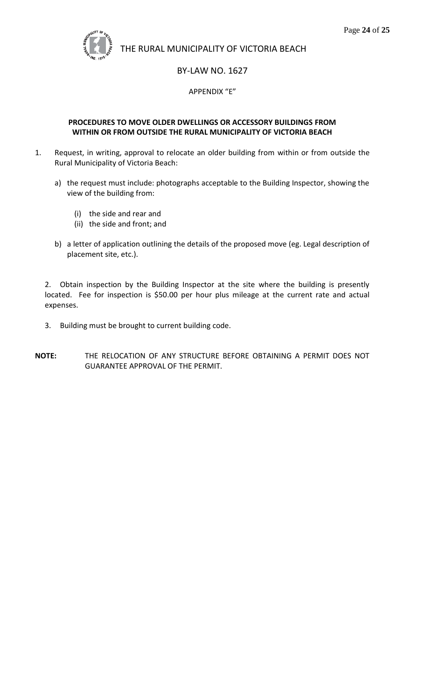

# BY-LAW NO. 1627

# APPENDIX "E"

# **PROCEDURES TO MOVE OLDER DWELLINGS OR ACCESSORY BUILDINGS FROM WITHIN OR FROM OUTSIDE THE RURAL MUNICIPALITY OF VICTORIA BEACH**

- 1. Request, in writing, approval to relocate an older building from within or from outside the Rural Municipality of Victoria Beach:
	- a) the request must include: photographs acceptable to the Building Inspector, showing the view of the building from:
		- (i) the side and rear and
		- (ii) the side and front; and
	- b) a letter of application outlining the details of the proposed move (eg. Legal description of placement site, etc.).

2. Obtain inspection by the Building Inspector at the site where the building is presently located. Fee for inspection is \$50.00 per hour plus mileage at the current rate and actual expenses.

- 3. Building must be brought to current building code.
- **NOTE:** THE RELOCATION OF ANY STRUCTURE BEFORE OBTAINING A PERMIT DOES NOT GUARANTEE APPROVAL OF THE PERMIT.